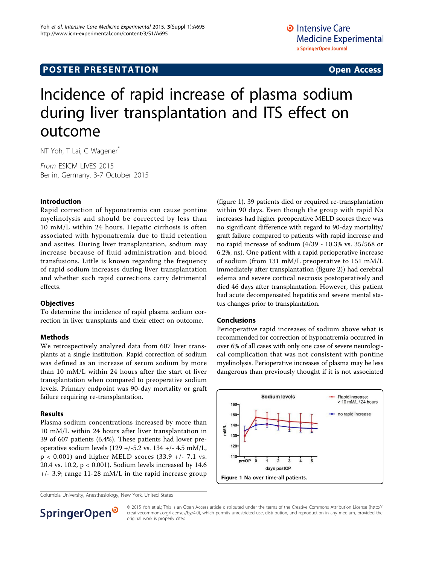## **POSTER PRESENTATION CONSUMING THE SERVICE SERVICE SERVICES**

# Incidence of rapid increase of plasma sodium during liver transplantation and ITS effect on outcome

NT Yoh, T Lai, G Wagener<sup>\*</sup>

From ESICM LIVES 2015 Berlin, Germany. 3-7 October 2015

#### Introduction

Rapid correction of hyponatremia can cause pontine myelinolysis and should be corrected by less than 10 mM/L within 24 hours. Hepatic cirrhosis is often associated with hyponatremia due to fluid retention and ascites. During liver transplantation, sodium may increase because of fluid administration and blood transfusions. Little is known regarding the frequency of rapid sodium increases during liver transplantation and whether such rapid corrections carry detrimental effects.

#### **Objectives**

To determine the incidence of rapid plasma sodium correction in liver transplants and their effect on outcome.

#### Methods

We retrospectively analyzed data from 607 liver transplants at a single institution. Rapid correction of sodium was defined as an increase of serum sodium by more than 10 mM/L within 24 hours after the start of liver transplantation when compared to preoperative sodium levels. Primary endpoint was 90-day mortality or graft failure requiring re-transplantation.

#### Results

Plasma sodium concentrations increased by more than 10 mM/L within 24 hours after liver transplantation in 39 of 607 patients (6.4%). These patients had lower preoperative sodium levels (129 +/-5.2 vs. 134 +/- 4.5 mM/L,  $p < 0.001$ ) and higher MELD scores (33.9 +/- 7.1 vs. 20.4 vs. 10.2, p < 0.001). Sodium levels increased by 14.6  $+/-$  3.9; range 11-28 mM/L in the rapid increase group

(figure 1). 39 patients died or required re-transplantation within 90 days. Even though the group with rapid Na increases had higher preoperative MELD scores there was no significant difference with regard to 90-day mortality/ graft failure compared to patients with rapid increase and no rapid increase of sodium (4/39 - 10.3% vs. 35/568 or 6.2%, ns). One patient with a rapid perioperative increase of sodium (from 131 mM/L preoperative to 151 mM/L immediately after transplantation (figure [2\)](#page-1-0)) had cerebral edema and severe cortical necrosis postoperatively and died 46 days after transplantation. However, this patient had acute decompensated hepatitis and severe mental status changes prior to transplantation.

#### Conclusions

Perioperative rapid increases of sodium above what is recommended for correction of hyponatremia occurred in over 6% of all cases with only one case of severe neurological complication that was not consistent with pontine myelinolysis. Perioperative increases of plasma may be less dangerous than previously thought if it is not associated



Columbia University, Anesthesiology, New York, United States



© 2015 Yoh et al.; This is an Open Access article distributed under the terms of the Creative Commons Attribution License ([http://](http://creativecommons.org/licenses/by/4.0) [creativecommons.org/licenses/by/4.0](http://creativecommons.org/licenses/by/4.0)), which permits unrestricted use, distribution, and reproduction in any medium, provided the original work is properly cited.